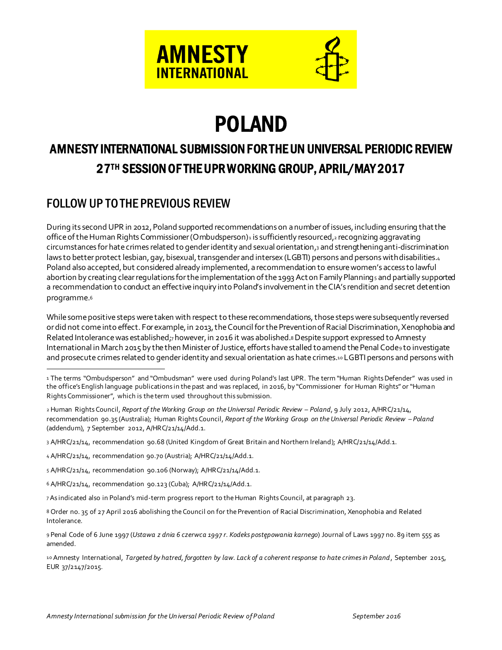



# POLAND

# AMNESTY INTERNATIONAL SUBMISSION FOR THE UN UNIVERSAL PERIODIC REVIEW 27TH SESSION OF THE UPR WORKING GROUP, APRIL/MAY 2017

# FOLLOW UP TO THE PREVIOUS REVIEW

During its second UPR in 2012, Poland supported recommendations on a number of issues, including ensuring that the office of the Human Rights Commissioner (Ombudsperson)<sup>1</sup> is sufficiently resourced,<sup>2</sup> recognizing aggravating circumstances for hate crimes related to gender identity and sexual orientation,3 and strengthening anti-discrimination laws to better protect lesbian, gay, bisexual, transgender and intersex (LGBTI) persons and persons with disabilities.4 Poland also accepted, but considered already implemented, a recommendation to ensurewomen's access to lawful abortion by creating clear regulations for the implementation of the 1993 Act on Family Planning<sub>5</sub> and partially supported a recommendation to conduct an effective inquiry into Poland's involvement in theCIA's rendition and secret detention programme.<sup>6</sup>

While some positive steps were taken with respect to these recommendations, those steps were subsequently reversed or did not come into effect. For example, in 2013, the Council for the Prevention of Racial Discrimination, Xenophobia and Related Intolerance was established;<sub>7</sub> however, in 2016 it was abolished.8 Despite support expressed to Amnesty International in March 2015 by the then Minister of Justice, efforts have stalled to amend the Penal Code9 to investigate and prosecute crimes related to gender identity and sexual orientation as hate crimes.10 LGBTI persons and persons with

j 1 The terms "Ombudsperson" and "Ombudsman" were used during Poland's last UPR. The term "Human Rights Defender" was used in the office's English language publications in the past and was replaced, in 2016, by "Commissioner for Human Rights" or "Human Rights Commissioner", which is the term used throughout this submission.

<sup>2</sup> Human Rights Council, *Report of the Working Group on the Universal Periodic Review – Poland*, 9 July 2012, A/HRC/21/14, recommendation 90.35 (Australia); Human Rights Council, *Report of the Working Group on the Universal Periodic Review – Poland* (addendum), 7 September 2012, A/HRC/21/14/Add.1.

<sup>3</sup> A/HRC/21/14, recommendation 90.68 (United Kingdom of Great Britain and Northern Ireland); A/HRC/21/14/Add.1.

<sup>4</sup> A/HRC/21/14, recommendation 90.70 (Austria); A/HRC/21/14/Add.1.

<sup>5</sup> A/HRC/21/14, recommendation 90.106 (Norway); A/HRC/21/14/Add.1.

<sup>6</sup> A/HRC/21/14, recommendation 90.123 (Cuba); A/HRC/21/14/Add.1.

<sup>7</sup>As indicated also in Poland's mid-term progress report to the Human Rights Council, at paragraph 23.

<sup>8</sup> Order no. 35 of 27 April 2016 abolishing the Council on for the Prevention of Racial Discrimination, Xenophobia and Related Intolerance.

<sup>9</sup> Penal Code of 6 June 1997 (*Ustawa z dnia 6 czerwca 1997 r. Kodeks postępowania karnego*) Journal of Laws 1997 no. 89 item 555 as amended.

<sup>10</sup> Amnesty International, *Targeted by hatred, forgotten by law. Lack of a coherent response to hate crimes in Poland*, September 2015, EUR 37/2147/2015.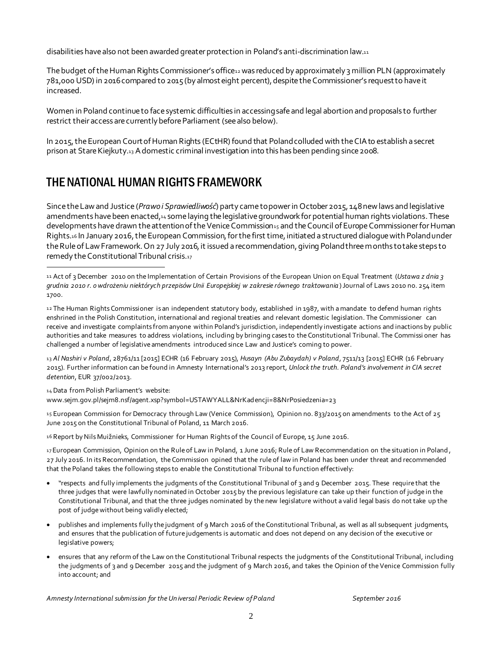disabilities have also not been awarded greater protection in Poland's anti-discrimination law.<sup>11</sup>

The budget of the Human Rights Commissioner's office12 was reduced by approximately 3 million PLN (approximately 781,000 USD) in 2016 compared to 2015 (by almost eight percent), despite the Commissioner's request to have it increased.

Women in Poland continue to face systemic difficulties in accessing safe and legal abortion and proposals to further restrict their access are currently before Parliament (see also below).

In 2015, the European Court of Human Rights (ECtHR) found that Poland colluded with the CIA to establish a secret prison at Stare Kiejkuty.<sup>13</sup> Adomestic criminal investigation into this has been pending since 2008.

# THE NATIONAL HUMAN RIGHTS FRAMEWORK

Since the Law and Justice (*Prawo i Sprawiedliwość*) party came to power in October 2015, 148 new laws and legislative amendments have been enacted,<sup>14</sup> some laying the legislative groundwork for potential human rights violations. These developments have drawn the attention of the Venice Commission15 and the Council of Europe Commissioner for Human Rights.<sup>16</sup> In January 2016, the European Commission, for the first time, initiated a structured dialogue with Poland under the Rule of Law Framework. On 27 July 2016, it issued a recommendation, giving Poland three months to take steps to remedy the Constitutional Tribunal crisis.<sup>17</sup>

13 *Al Nashiri v Poland*, 28761/11 [2015] ECHR (16 February 2015), *Husayn (Abu Zubaydah) v Poland*, 7511/13 [2015] ECHR (16 February 2015). Further information can be found in Amnesty International's 2013 report, *Unlock the truth. Poland's involvement in CIA secret detention*, EUR 37/002/2013.

14 Data from Polish Parliament's website:

j

www.sejm.gov.pl/sejm8.nsf/agent.xsp?symbol=USTAWYALL&NrKadencji=8&NrPosiedzenia=23

15 European Commission for Democracy through Law (Venice Commission), Opinion no. 833/2015 on amendments to the Act of 25 June 2015 on the Constitutional Tribunal of Poland, 11 March 2016.

16 Report by Nils Muižnieks, Commissioner for Human Rights of the Council of Europe, 15 June 2016.

17 European Commission, Opinion on the Rule of Law in Poland, 1 June 2016; Rule of Law Recommendation on the situation in Poland, 27 July 2016. In its Recommendation, the Commission opined that the rule of law in Poland has been under threat and recommended that the Poland takes the following steps to enable the Constitutional Tribunal to function effectively:

- "respects and fully implements the judgments of the Constitutional Tribunal of 3 and 9 December 2015. These require that the three judges that were lawfully nominated in October 2015 by the previous legislature can take up their function of judge in the Constitutional Tribunal, and that the three judges nominated by the new legislature without a valid legal basis do not take up the post of judge without being validly elected;
- publishes and implements fully the judgment of 9 March 2016 of the Constitutional Tribunal, as well as all subsequent judgments, and ensures that the publication of future judgements is automatic and does not depend on any decision of the executive or legislative powers;
- ensures that any reform of the Law on the Constitutional Tribunal respects the judgments of the Constitutional Tribunal, including the judgments of 3 and 9 December 2015 and the judgment of 9 March 2016, and takes the Opinion of the Venice Commission fully into account; and

*Amnesty International submission for the Un iversal Periodic Review of Poland September 2016*

<sup>11</sup> Act of 3 December 2010 on the Implementation of Certain Provisions of the European Union on Equal Treatment (*Ustawa z dnia 3 grudnia 2010 r. o wdrożeniu niektórych przepisów Unii Europejskiej w zakresie równego traktowania* ) Journal of Laws 2010 no. 254 item 1700.

<sup>12</sup> The Human Rights Commissioner is an independent statutory body, established in 1987, with a mandate to defend human rights enshrined in the Polish Constitution, international and regional treaties and relevant domestic legislation. The Commissioner can receive and investigate complaints from anyone within Poland's jurisdiction, independently investigate actions and inactions by public authorities and take measures to address violations, including by bringing cases to the Constitutional Tribunal. The Commissi oner has challenged a number of legislative amendments introduced since Law and Justice's coming to power.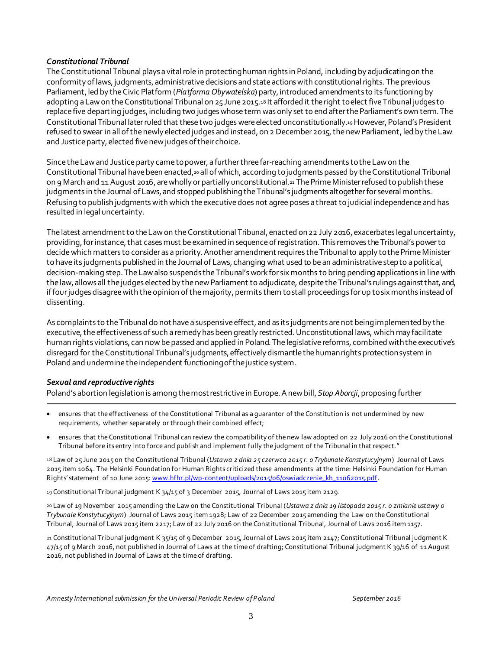#### *Constitutional Tribunal*

The Constitutional Tribunal plays a vital role in protecting human rights in Poland, including by adjudicating on the conformity of laws, judgments, administrative decisions and state actions with constitutional rights. The previous Parliament, led by the Civic Platform (*Platforma Obywatelska*) party, introduced amendments to its functioning by adopting a Law on the Constitutional Tribunal on 25 June 2015.<sup>18</sup> It afforded it the right to elect five Tribunal judges to replace five departing judges, including two judges whose term was only set to end after the Parliament's own term. The Constitutional Tribunal later ruled that these two judges were elected unconstitutionally.19 However, Poland's President refused to swear in all of the newly elected judges and instead, on 2 December 2015, the new Parliament, led by the Law and Justice party, elected five new judges of their choice.

Since the Law and Justice party came to power, a further three far-reaching amendments to the Law on the Constitutional Tribunal have been enacted,<sup>20</sup> all of which, according to judgments passed by the Constitutional Tribunal on 9 March and 11 August 2016, are wholly or partially unconstitutional.<sup>21</sup> The Prime Minister refused to publish these judgments in the Journal of Laws, and stopped publishing the Tribunal's judgments altogether for several months. Refusing to publish judgments with which the executive does not agree poses a threat to judicial independence and has resulted in legal uncertainty.

The latest amendment to the Law on the Constitutional Tribunal, enacted on 22 July 2016, exacerbates legal uncertainty, providing, for instance, that cases must be examined in sequence of registration. This removes the Tribunal's power to decide which matters to consider as a priority. Another amendment requires the Tribunal to apply to the Prime Minister to have its judgments published in the Journal of Laws, changing what used to be an administrative step to a political, decision-making step.The Law also suspends the Tribunal's work for six months to bring pending applications in line with the law, allows all the judges elected by the new Parliament to adjudicate, despite the Tribunal's rulings against that, and, if four judges disagree with the opinion of the majority, permits them to stall proceedings for up to six months instead of dissenting.

As complaints to the Tribunal do not have a suspensive effect, and as its judgments are not being implemented by the executive, the effectiveness of such a remedy has been greatly restricted. Unconstitutional laws, which may facilitate human rights violations, can now be passed and applied in Poland. The legislative reforms, combined with the executive's disregard for the Constitutional Tribunal's judgments, effectively dismantle the human rights protection system in Poland and undermine the independent functioning of the justice system.

#### *Sexual and reproductive rights*

.

Poland's abortion legislation is among the most restrictive in Europe. A new bill, *Stop Aborcji*, proposing further

- ensures that the effectiveness of the Constitutional Tribunal as a guarantor of the Constitution is not undermined by new requirements, whether separately or through their combined effect;
- ensures that the Constitutional Tribunal can review the compatibility of the new law adopted on 22 July 2016 on the Constitutional Tribunal before its entry into force and publish and implement fully the judgment of the Tribunal in that respect."

18 Law of 25 June 2015 on the Constitutional Tribunal (*Ustawa z dnia 25 czerwca 2015 r. o Trybunale Konstytucyjnym*) Journal of Laws 2015 item 1064. The Helsinki Foundation for Human Rights criticized these amendments at the time: Helsinki Foundation for Human Rights' statement of 10 June 2015: www.hfhr.pl/wp-content/uploads/2015/06/oswiadczenie\_kh\_11062015.pdf.

19 Constitutional Tribunal judgment K 34/15 of 3 December 2015, Journal of Laws 2015 item 2129.

20 Law of 19 November 2015 amending the Law on the Constitutional Tribunal (*Ustawa z dnia 19 listopada 2015 r. o zmianie ustawy o Trybunale Konstytucyjnym*) Journal of Laws 2015 item 1928; Law of 22 December 2015 amending the Law on the Constitutional Tribunal, Journal of Laws 2015 item 2217; Law of 22 July 2016 on the Constitutional Tribunal, Journal of Laws 2016 item 1157.

21 Constitutional Tribunal judgment K 35/15 of 9 December 2015, Journal of Laws 2015 item 2147; Constitutional Tribunal judgment K 47/15 of 9 March 2016, not published in Journal of Laws at the time of drafting; Constitutional Tribunal judgment K 39/16 of 11 August 2016, not published in Journal of Laws at the time of drafting.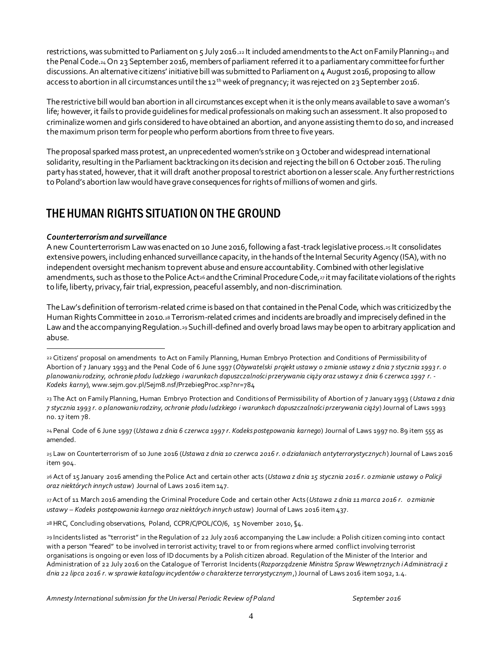restrictions, was submitted to Parliament on 5 July 2016.<sup>22</sup> It included amendments to the Act on Family Planning<sup>23</sup> and the Penal Code.<sup>24</sup> On 23 September 2016, members of parliament referred it to a parliamentary committee for further discussions.An alternative citizens' initiative bill was submitted to Parliament on 4 August 2016, proposing to allow access to abortion in all circumstances until the 12<sup>th</sup> week of pregnancy; it was rejected on 23 September 2016.

The restrictive bill would ban abortion in all circumstances except when it is the only means available to save awoman's life; however, it fails to provide quidelines for medical professionals on making such an assessment. It also proposed to criminalize women and girls considered to have obtained an abortion, and anyone assisting them to do so, and increased the maximum prison term for people who perform abortions from three to five years.

The proposal sparked mass protest, an unprecedented women's strike on 3 October and widespread international solidarity, resulting in the Parliament backtracking on its decision and rejecting the bill on 6 October 2016. The ruling party has stated, however, that it will draft another proposaltorestrict abortion on a lesser scale. Any further restrictions to Poland's abortion law would have grave consequences for rights of millions of women and girls.

### THE HUMAN RIGHTS SITUATION ON THE GROUND

#### *Counterterrorism and surveillance*

l

A new Counterterrorism Law was enacted on 10 June 2016, following a fast-track legislative process.<sup>25</sup> It consolidates extensive powers, including enhanced surveillance capacity, in the hands of the Internal Security Agency (ISA), with no independent oversight mechanism to prevent abuse and ensure accountability. Combined with other legislative amendments, such as those to the Police Act<sup>26</sup> and the Criminal Procedure Code,<sub>27</sub> it may facilitate violations of the rights to life, liberty, privacy, fair trial, expression, peaceful assembly, and non-discrimination.

The Law's definition of terrorism-related crime is based on that contained in the Penal Code, which was criticized by the Human Rights Committee in 2010.<sup>28</sup> Terrorism-related crimes and incidents are broadly and imprecisely defined in the Law and the accompanying Regulation.<sup>2</sup>9 Such ill-defined and overly broad laws may be open to arbitrary application and abuse.

25 Law on Counterterrorism of 10 June 2016 (*Ustawa z dnia 10 czerwca 2016 r. o działaniach antyterrorystycznych*) Journal of Laws 2016 item 904.

26 Act of 15 January 2016 amending the Police Act and certain other acts (*Ustawa z dnia 15 stycznia 2016 r. o zmianie ustawy o Policji oraz niektórych innych ustaw*) Journal of Laws 2016 item 147.

27Act of 11 March 2016 amending the Criminal Procedure Code and certain other Acts (*Ustawa z dnia 11 marca 2016 r. o zmianie ustawy – Kodeks postępowania karnego oraz niektórych innych ustaw*) Journal of Laws 2016 item 437.

28 HRC, Concluding observations, Poland, CCPR/C/POL/CO/6, 15 November 2010, §4.

<sup>22</sup> Citizens' proposal on amendments to Act on Family Planning, Human Embryo Protection and Conditions of Permissibility of Abortion of 7 January 1993 and the Penal Code of 6 June 1997 (*Obywatelski projekt ustawy o zmianie ustawy z dnia 7 stycznia 1993 r. o planowaniu rodziny, ochronie płodu ludzkiego i warunkach dopuszczalności przerywania ciąży oraz ustawy z dnia 6 czerwca 1997 r. - Kodeks karny*), www.sejm.gov.pl/Sejm8.nsf/PrzebiegProc.xsp?nr=784

<sup>23</sup> The Act on Family Planning, Human Embryo Protection and Conditions of Permissibility of Abortion of 7 January 1993 (*Ustawa z dnia 7 stycznia 1993 r. o planowaniu rodziny, ochronie płodu ludzkiego i warunkach dopuszczalności przerywania ciąży*) Journal of Laws 1993 no. 17 item 78.

<sup>24</sup> Penal Code of 6 June 1997 (*Ustawa z dnia 6 czerwca 1997 r. Kodeks postępowania karnego*) Journal of Laws 1997 no. 89 item 555 as amended.

<sup>29</sup> Incidents listed as "terrorist" in the Regulation of 22 July 2016 accompanying the Law include: a Polish citizen coming into contact with a person "feared" to be involved in terrorist activity; travel to or from regions where armed conflict involving terrorist organisations is ongoing or even loss of ID documents by a Polish citizen abroad. Regulation of the Minister of the Interior and Administration of 22 July 2016 on the Catalogue of Terrorist Incidents (*Rozporządzenie Ministra Spraw Wewnętrznych i Administracji z dnia 22 lipca 2016 r. w sprawie katalogu incydentów o charakterze terrorystycznym*,) Journal of Laws 2016 item 1092, 1.4.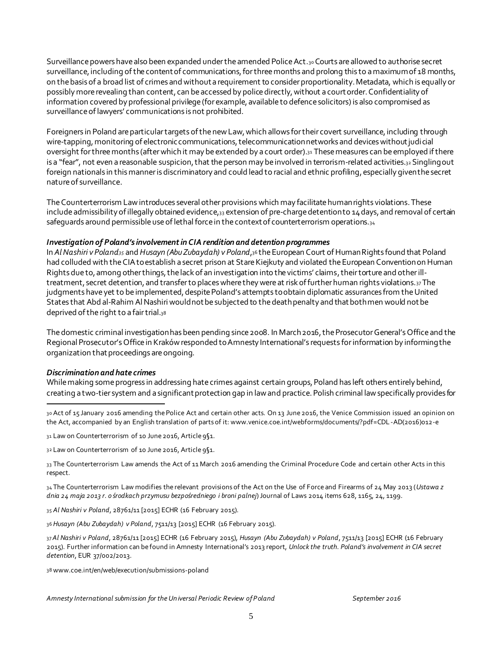Surveillance powers have also been expanded under the amended Police Act.30Courts are allowed to authorise secret surveillance, including of the content of communications, for three months and prolong this to a maximum of 18 months, on the basis of a broad list of crimes and without a requirement to consider proportionality. Metadata, which is equally or possibly more revealing than content, can be accessed by police directly, without a court order. Confidentiality of information covered by professional privilege (for example, available to defence solicitors) is also compromised as surveillance of lawyers' communications is not prohibited.

Foreigners in Poland are particular targets of the new Law, which allows for their covert surveillance, including through wire-tapping, monitoring of electronic communications, telecommunication networks and devices without judicial oversight for three months (after whichit may be extended by a court order).<sup>31</sup> These measures can be employed if there is a "fear", not even a reasonable suspicion, that the person may be involved in terrorism-related activities.32 Singling out foreign nationals in this manner is discriminatory and could lead to racial and ethnic profiling, especially given the secret nature of surveillance.

The Counterterrorism Law introduces several other provisions which may facilitate human rights violations. These include admissibility of illegally obtained evidence, 33 extension of pre-charge detention to 14 days, and removal of certain safeguards around permissible use of lethal force in the context of counterterrorism operations.<sub>34</sub>

#### *Investigation of Poland's involvement in CIA rendition and detention programmes*

In *Al Nashiri v Poland<sup>35</sup>* and *Husayn (Abu Zubaydah) v Poland*,<sup>36</sup> the European Court of Human Rights found that Poland had colluded with the CIA to establish a secret prison at Stare Kiejkuty and violated the European Convention on Human Rights due to, among other things, the lack of an investigation into the victims' claims,their torture and other illtreatment, secret detention, and transfer to places where they were at risk of further human rights violations.<sub>37</sub>The judgments have yet to be implemented, despite Poland's attempts to obtain diplomatic assurances from the United States that Abd al-Rahim Al Nashiri would not be subjected to the death penalty and that both men would not be deprived of the right to a fair trial.<sup>38</sup>

The domestic criminal investigation has been pending since 2008. In March 2016, the Prosecutor General's Office and the Regional Prosecutor's Office in Kraków responded to Amnesty International's requests for information by informing the organization that proceedings are ongoing.

#### *Discrimination and hate crimes*

While making some progress in addressing hate crimes against certain groups, Poland has left others entirely behind, creating a two-tier system and a significant protection gap in law and practice. Polish criminal law specifically provides for

j 30 Act of 15 January 2016 amending the Police Act and certain other acts. On 13 June 2016, the Venice Commission issued an opinion on the Act, accompanied by an English translation of parts of it: www.venice.coe.int/webforms/documents/?pdf=CDL -AD(2016)012-e

31 Law on Counterterrorism of 10 June 2016, Article 9§1.

32 Law on Counterterrorism of 10 June 2016, Article 9§1.

33 The Counterterrorism Law amends the Act of 11 March 2016 amending the Criminal Procedure Code and certain other Acts in this respect.

34 The Counterterrorism Law modifies the relevant provisions of the Act on the Use of Force and Firearms of 24 May 2013 (*Ustawa z dnia 24 maja 2013 r. o środkach przymusu bezpośredniego i broni palnej*) Journal of Laws 2014 items 628, 1165, 24, 1199.

35 *Al Nashiri v Poland*, 28761/11 [2015] ECHR (16 February 2015).

36 *Husayn (Abu Zubaydah) v Poland*, 7511/13 [2015] ECHR (16 February 2015).

37*Al Nashiri v Poland*, 28761/11 [2015] ECHR (16 February 2015), *Husayn (Abu Zubaydah) v Poland*, 7511/13 [2015] ECHR (16 February 2015). Further information can be found in Amnesty International's 2013 report, *Unlock the truth. Poland's involvement in CIA secret detention*, EUR 37/002/2013.

38 www.coe.int/en/web/execution/submissions-poland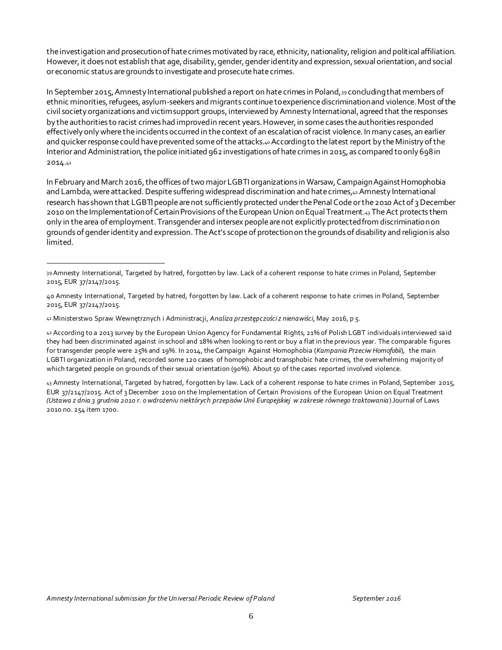the investigation and prosecution of hate crimes motivated by race, ethnicity, nationality, religion and political affiliation. However, it does not establish that age, disability, gender, gender identity and expression, sexual orientation, and social or economic status are grounds to investigate and prosecute hate crimes.

In September 2015, Amnesty International published a report on hate crimes in Poland,<sup>39</sup> concluding that members of ethnic minorities, refugees, asylum-seekers and migrants continue to experience discrimination and violence. Most of the civil society organizations and victim support groups, interviewed by Amnesty International, agreed that the responses by the authorities to racist crimes had improved in recent years. However, in some cases the authorities responded effectively only where the incidents occurred in the context of an escalation of racist violence. In many cases, an earlier and quicker response could have prevented some of the attacks.40 According to the latest report by the Ministry of the Interior and Administration, the police initiated 962 investigations of hate crimes in 2015, as compared to only 698 in 2014.<sup>41</sup>

In February and March 2016, the offices of two major LGBTI organizations in Warsaw, Campaign Against Homophobia and Lambda, were attacked. Despite suffering widespread discrimination and hate crimes,42 Amnesty International research has shown that LGBTI people are not sufficiently protected under the Penal Code or the 2010 Act of 3 December 2010 on the Implementation of Certain Provisions of the European Union on Equal Treatment.43 The Act protects them only in the area of employment. Transgender and intersex people are not explicitly protected from discrimination on grounds of gender identity and expression. The Act's scope of protection on the grounds of disability and religion is also limited.

j

42 According to a 2013 survey by the European Union Agency for Fundamental Rights, 21% of Polish LGBT individuals interviewed said they had been discriminated against in school and 18% when looking to rent or buy a flat in the previous year. The comparable figures for transgender people were 25% and 19%. In 2014, the Campaign Against Homophobia (*Kampania Przeciw Homofobii*), the main LGBTI organization in Poland, recorded some 120 cases of homophobic and transphobic hate crimes, the overwhelming majority of which targeted people on grounds of their sexual orientation (90%). About 50 of the cases reported involved violence.

43 Amnesty International, Targeted by hatred, forgotten by law. Lack of a coherent response to hate crimes in Poland, September 2015, EUR 37/2147/2015. Act of 3 December 2010 on the Implementation of Certain Provisions of the European Union on Equal Treatment *(Ustawa z dnia 3 grudnia 2010 r. o wdrożeniu niektórych przepisów Unii Europejskiej w zakresie równego traktowania*) Journal of Laws 2010 no. 254 item 1700.

<sup>39</sup> Amnesty International, Targeted by hatred, forgotten by law. Lack of a coherent response to hate crimes in Poland, September 2015, EUR 37/2147/2015.

<sup>40</sup> Amnesty International, Targeted by hatred, forgotten by law. Lack of a coherent response to hate crimes in Poland, September 2015, EUR 37/2147/2015.

<sup>41</sup> Ministerstwo Spraw Wewnętrznych i Administracji, *Analiza przestępczości z nienawiści*, May 2016, p 5.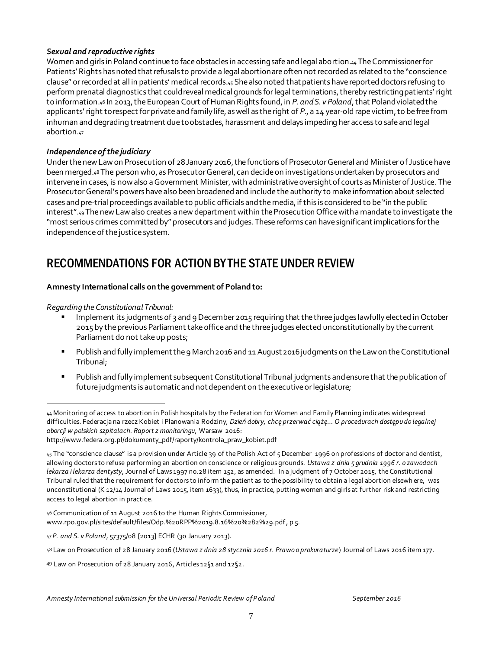#### *Sexual and reproductive rights*

Women and girls in Poland continue to face obstacles in accessing safe and legal abortion.<sup>44</sup> The Commissioner for Patients' Rights has noted that refusals to provide a legal abortion are often not recorded as related to the "conscience clause" or recorded at all in patients' medical records.<sup>45</sup> She also noted that patients havereported doctors refusing to perform prenatal diagnostics that could reveal medical grounds for legal terminations, thereby restricting patients' right to information.<sup>46</sup> In 2013, the European Court of Human Rights found, in *P. and S. v Poland*, that Poland violated the applicants' right to respect for private and family life, as well as the right of *P*., a 14 year-old rape victim,to be free from inhuman and degrading treatment due toobstacles, harassment and delays impeding her access to safe and legal abortion.<sup>47</sup>

#### *Independence of the judiciary*

Under the new Law on Prosecution of 28 January 2016, the functions of Prosecutor General and Minister of Justice have been merged.<sup>48</sup> The person who, as Prosecutor General, can decide on investigations undertaken by prosecutors and intervene in cases, is now also a Government Minister, with administrative oversight of courts as Minister of Justice. The Prosecutor General's powers have also been broadened and include the authority to make information about selected cases and pre-trial proceedings available to public officials and the media, if this is considered to be "in the public interest".49The new Law also creates a new department within the Prosecution Office with a mandate to investigate the "most serious crimes committed by" prosecutors and judges.These reforms can have significant implications for the independence of the justice system.

# RECOMMENDATIONS FOR ACTION BY THE STATE UNDER REVIEW

#### **Amnesty International calls on the government of Poland to:**

*Regarding the Constitutional Tribunal:*

j

- Implement its judgments of 3 and 9 December 2015 requiring that the three judges lawfully elected in October 2015 by the previous Parliament take office and the three judges elected unconstitutionally by the current Parliament do not take up posts;
- Publish and fully implement the 9 March 2016 and 11 August 2016 judgments on the Law on the Constitutional Tribunal;
- Publish and fully implement subsequent Constitutional Tribunal judgments andensure that the publication of future judgments is automatic and not dependent on the executive or legislature;

<sup>44</sup> Monitoring of access to abortion in Polish hospitals by the Federation for Women and Family Planning indicates widespread difficulties. Federacja na rzecz Kobiet i Planowania Rodziny, *Dzień dobry, chcę przerwać ciążę… O procedurach dostępu do legalnej aborcji w polskich szpitalach. Raport z monitoringu*, Warsaw 2016:

http://www.federa.org.pl/dokumenty\_pdf/raporty/kontrola\_praw\_kobiet.pdf

<sup>45</sup> The "conscience clause" is a provision under Article 39 of the Polish Act of 5 December 1996 on professions of doctor and dentist, allowing doctors to refuse performing an abortion on conscience or religious grounds. *Ustawa z dnia 5 grudnia 1996 r. o zawodach lekarza i lekarza dentysty*, Journal of Laws 1997 no.28 item 152, as amended. In a judgment of 7 October 2015, the Constitutional Tribunal ruled that the requirement for doctors to inform the patient as to the possibility to obtain a legal abortion elsewh ere, was unconstitutional (K 12/14 Journal of Laws 2015, item 1633), thus, in practice, putting women and girls at further risk and restricting access to legal abortion in practice.

<sup>46</sup> Communication of 11 August 2016 to the Human Rights Commissioner, www.rpo.gov.pl/sites/default/files/Odp.%20RPP%2019.8.16%20%282%29.pdf, p 5.

<sup>47</sup> *P. and S. v Poland*, 57375/08 [2013] ECHR (30 January 2013).

<sup>48</sup> Law on Prosecution of 28 January 2016 (*Ustawa z dnia 28 stycznia 2016 r. Prawo o prokuraturze*) Journal of Laws 2016 item 177.

<sup>49</sup> Law on Prosecution of 28 January 2016, Articles 12§1 and 12§2.